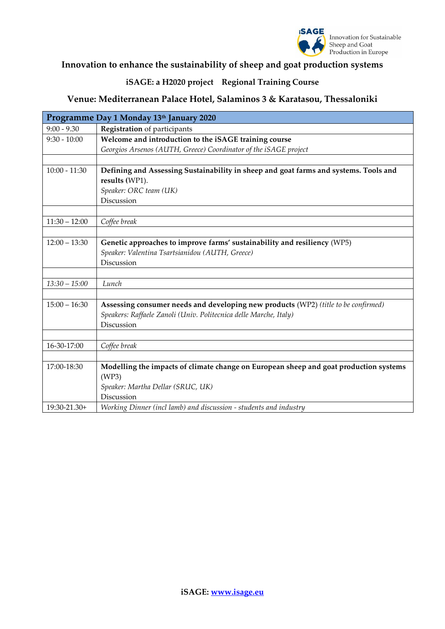

### **Innovation to enhance the sustainability of sheep and goat production systems**

### **iSAGE: a H2020 project Regional Training Course**

### **Venue: Mediterranean Palace Hotel, Salaminos 3 & Karatasou, Thessaloniki**

| Programme Day 1 Monday 13th January 2020 |                                                                                       |  |
|------------------------------------------|---------------------------------------------------------------------------------------|--|
| $9:00 - 9.30$                            | Registration of participants                                                          |  |
| $9:30 - 10:00$                           | Welcome and introduction to the iSAGE training course                                 |  |
|                                          | Georgios Arsenos (AUTH, Greece) Coordinator of the iSAGE project                      |  |
|                                          |                                                                                       |  |
| $10:00 - 11:30$                          | Defining and Assessing Sustainability in sheep and goat farms and systems. Tools and  |  |
|                                          | results (WP1).                                                                        |  |
|                                          | Speaker: ORC team (UK)                                                                |  |
|                                          | Discussion                                                                            |  |
|                                          |                                                                                       |  |
| $11:30 - 12:00$                          | Coffee break                                                                          |  |
|                                          |                                                                                       |  |
| $12:00 - 13:30$                          | Genetic approaches to improve farms' sustainability and resiliency (WP5)              |  |
|                                          | Speaker: Valentina Tsartsianidou (AUTH, Greece)                                       |  |
|                                          | Discussion                                                                            |  |
|                                          |                                                                                       |  |
| $13:30 - 15:00$                          | Lunch                                                                                 |  |
|                                          |                                                                                       |  |
| $15:00 - 16:30$                          | Assessing consumer needs and developing new products (WP2) (title to be confirmed)    |  |
|                                          | Speakers: Raffaele Zanoli (Univ. Politecnica delle Marche, Italy)                     |  |
|                                          | Discussion                                                                            |  |
|                                          |                                                                                       |  |
| 16-30-17:00                              | Coffee break                                                                          |  |
|                                          |                                                                                       |  |
| 17:00-18:30                              | Modelling the impacts of climate change on European sheep and goat production systems |  |
|                                          | (WP3)                                                                                 |  |
|                                          | Speaker: Martha Dellar (SRUC, UK)                                                     |  |
|                                          | Discussion                                                                            |  |
| 19:30-21.30+                             | Working Dinner (incl lamb) and discussion - students and industry                     |  |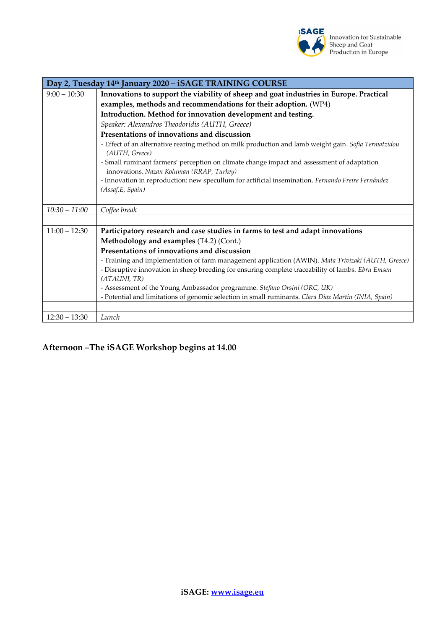

| Day 2, Tuesday 14th January 2020 - iSAGE TRAINING COURSE |                                                                                                                                         |  |
|----------------------------------------------------------|-----------------------------------------------------------------------------------------------------------------------------------------|--|
| $9:00 - 10:30$                                           | Innovations to support the viability of sheep and goat industries in Europe. Practical                                                  |  |
|                                                          | examples, methods and recommendations for their adoption. (WP4)                                                                         |  |
|                                                          | Introduction. Method for innovation development and testing.                                                                            |  |
|                                                          | Speaker: Alexandros Theodoridis (AUTH, Greece)                                                                                          |  |
|                                                          | Presentations of innovations and discussion                                                                                             |  |
|                                                          | - Effect of an alternative rearing method on milk production and lamb weight gain. Sofia Termatzidou<br>(AUTH, Greece)                  |  |
|                                                          | - Small ruminant farmers' perception on climate change impact and assessment of adaptation<br>innovations. Nazan Koluman (RRAP, Turkey) |  |
|                                                          | - Innovation in reproduction: new specullum for artificial insemination. Fernando Freire Fernández                                      |  |
|                                                          | (Assaf.E, Spain)                                                                                                                        |  |
|                                                          |                                                                                                                                         |  |
| $10:30 - 11:00$                                          | Coffee break                                                                                                                            |  |
|                                                          |                                                                                                                                         |  |
| $11:00 - 12:30$                                          | Participatory research and case studies in farms to test and adapt innovations                                                          |  |
|                                                          | Methodology and examples (T4.2) (Cont.)                                                                                                 |  |
|                                                          | Presentations of innovations and discussion                                                                                             |  |
|                                                          | - Training and implementation of farm management application (AWIN). Mata Trivizaki (AUTH, Greece)                                      |  |
|                                                          | - Disruptive innovation in sheep breeding for ensuring complete traceability of lambs. Ebru Emsen                                       |  |
|                                                          | (ATAUNI, TR)                                                                                                                            |  |
|                                                          | - Assessment of the Young Ambassador programme. Stefano Orsini (ORC, UK)                                                                |  |
|                                                          | - Potential and limitations of genomic selection in small ruminants. Clara Diaz Martin (INIA, Spain)                                    |  |
|                                                          |                                                                                                                                         |  |
| $12:30 - 13:30$                                          | Lunch                                                                                                                                   |  |

### **Afternoon –The iSAGE Workshop begins at 14.00**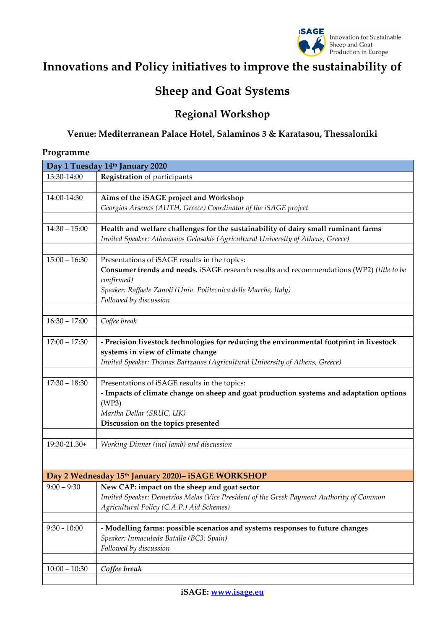

# **Innovations and Policy initiatives to improve the sustainability of**

# **Sheep and Goat Systems**

## **Regional Workshop**

### **Venue: Mediterranean Palace Hotel, Salaminos 3 & Karatasou, Thessaloniki**

#### **Programme**

| Day 1 Tuesday 14th January 2020 |                                                                                           |  |
|---------------------------------|-------------------------------------------------------------------------------------------|--|
| 13:30-14:00                     | <b>Registration</b> of participants                                                       |  |
|                                 |                                                                                           |  |
| 14:00-14:30                     | Aims of the iSAGE project and Workshop                                                    |  |
|                                 | Georgios Arsenos (AUTH, Greece) Coordinator of the iSAGE project                          |  |
|                                 |                                                                                           |  |
| $14:30 - 15:00$                 | Health and welfare challenges for the sustainability of dairy small ruminant farms        |  |
|                                 | Invited Speaker: Athanasios Gelasakis (Agricultural University of Athens, Greece)         |  |
|                                 |                                                                                           |  |
| $15:00 - 16:30$                 | Presentations of iSAGE results in the topics:                                             |  |
|                                 | Consumer trends and needs. iSAGE research results and recommendations (WP2) (title to be  |  |
|                                 | confirmed)                                                                                |  |
|                                 | Speaker: Raffaele Zanoli (Univ. Politecnica delle Marche, Italy)                          |  |
|                                 | Followed by discussion                                                                    |  |
|                                 |                                                                                           |  |
| $16:30 - 17:00$                 | Coffee break                                                                              |  |
|                                 |                                                                                           |  |
| $17:00 - 17:30$                 | - Precision livestock technologies for reducing the environmental footprint in livestock  |  |
|                                 | systems in view of climate change                                                         |  |
|                                 | Invited Speaker: Thomas Bartzanas (Agricultural University of Athens, Greece)             |  |
| $17:30 - 18:30$                 | Presentations of iSAGE results in the topics:                                             |  |
|                                 | - Impacts of climate change on sheep and goat production systems and adaptation options   |  |
|                                 | (WP3)                                                                                     |  |
|                                 | Martha Dellar (SRUC, UK)                                                                  |  |
|                                 | Discussion on the topics presented                                                        |  |
|                                 |                                                                                           |  |
| 19:30-21.30+                    | Working Dinner (incl lamb) and discussion                                                 |  |
|                                 |                                                                                           |  |
|                                 |                                                                                           |  |
|                                 | Day 2 Wednesday 15th January 2020)- iSAGE WORKSHOP                                        |  |
| $9:00 - 9:30$                   | New CAP: impact on the sheep and goat sector                                              |  |
|                                 | Invited Speaker: Demetrios Melas (Vice President of the Greek Payment Authority of Common |  |
|                                 | Agricultural Policy (C.A.P.) Aid Schemes)                                                 |  |
|                                 |                                                                                           |  |
| $9:30 - 10:00$                  | - Modelling farms: possible scenarios and systems responses to future changes             |  |
|                                 | Speaker: Inmaculada Batalla (BC3, Spain)                                                  |  |
|                                 | Followed by discussion                                                                    |  |
|                                 |                                                                                           |  |
| $10:00 - 10:30$                 | Coffee break                                                                              |  |
|                                 |                                                                                           |  |